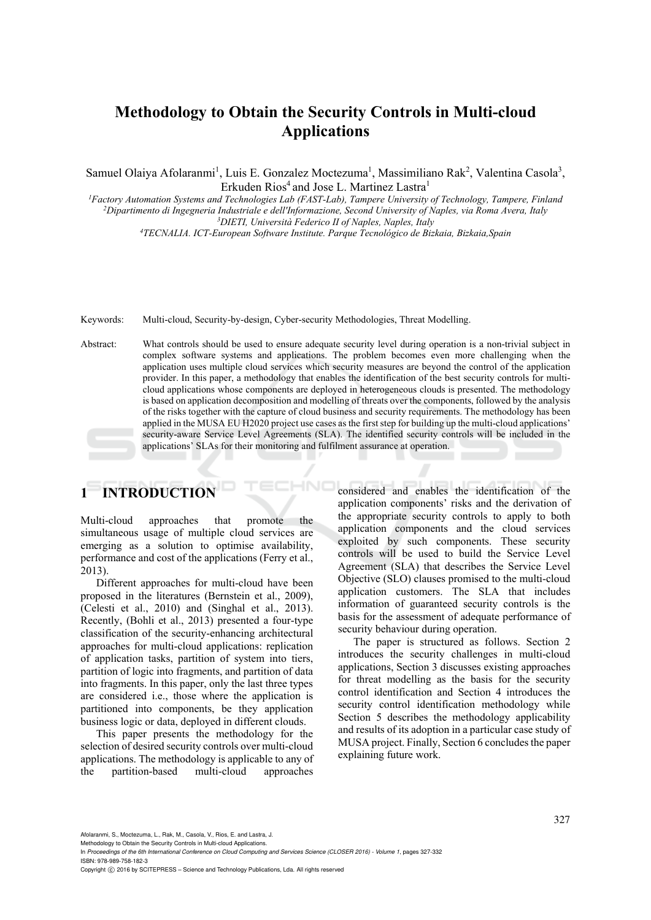# **Methodology to Obtain the Security Controls in Multi-cloud Applications**

Samuel Olaiya Afolaranmi<sup>1</sup>, Luis E. Gonzalez Moctezuma<sup>1</sup>, Massimiliano Rak<sup>2</sup>, Valentina Casola<sup>3</sup>, Erkuden Rios<sup>4</sup> and Jose L. Martinez Lastra<sup>1</sup><br>Factory Automation Systems and Technologies Lab (FAST-Lab). Tampere University of Technology. Tampere. Finland<sup>1</sup>

<sup>2</sup>Dipartimento di Ingegneria Industriale e dell'Informazione, Second University of Naples, via Roma Avera, Italy<br><sup>3</sup>DIETI, Università Federico II of Naples, Naples, Italy *TECNALIA. ICT-European Software Institute. Parque Tecnológico de Bizkaia, Bizkaia,Spain* 

Keywords: Multi-cloud, Security-by-design, Cyber-security Methodologies, Threat Modelling.

Abstract: What controls should be used to ensure adequate security level during operation is a non-trivial subject in complex software systems and applications. The problem becomes even more challenging when the application uses multiple cloud services which security measures are beyond the control of the application provider. In this paper, a methodology that enables the identification of the best security controls for multicloud applications whose components are deployed in heterogeneous clouds is presented. The methodology is based on application decomposition and modelling of threats over the components, followed by the analysis of the risks together with the capture of cloud business and security requirements. The methodology has been applied in the MUSA EU H2020 project use cases as the first step for building up the multi-cloud applications' security-aware Service Level Agreements (SLA). The identified security controls will be included in the applications' SLAs for their monitoring and fulfilment assurance at operation.

# **1 INTRODUCTION**

Multi-cloud approaches that promote the simultaneous usage of multiple cloud services are emerging as a solution to optimise availability, performance and cost of the applications (Ferry et al., 2013).

Different approaches for multi-cloud have been proposed in the literatures (Bernstein et al., 2009), (Celesti et al., 2010) and (Singhal et al., 2013). Recently, (Bohli et al., 2013) presented a four-type classification of the security-enhancing architectural approaches for multi-cloud applications: replication of application tasks, partition of system into tiers, partition of logic into fragments, and partition of data into fragments. In this paper, only the last three types are considered i.e., those where the application is partitioned into components, be they application business logic or data, deployed in different clouds.

This paper presents the methodology for the selection of desired security controls over multi-cloud applications. The methodology is applicable to any of the partition-based multi-cloud approaches considered and enables the identification of the application components' risks and the derivation of the appropriate security controls to apply to both application components and the cloud services exploited by such components. These security controls will be used to build the Service Level Agreement (SLA) that describes the Service Level Objective (SLO) clauses promised to the multi-cloud application customers. The SLA that includes information of guaranteed security controls is the basis for the assessment of adequate performance of security behaviour during operation.

The paper is structured as follows. Section 2 introduces the security challenges in multi-cloud applications, Section 3 discusses existing approaches for threat modelling as the basis for the security control identification and Section 4 introduces the security control identification methodology while Section 5 describes the methodology applicability and results of its adoption in a particular case study of MUSA project. Finally, Section 6 concludes the paper explaining future work.

Afolaranmi, S., Moctezuma, L., Rak, M., Casola, V., Rios, E. and Lastra, J.

Methodology to Obtain the Security Controls in Multi-cloud Applications.

In *Proceedings of the 6th International Conference on Cloud Computing and Services Science (CLOSER 2016) - Volume 1*, pages 327-332 ISBN: 978-989-758-182-3

Copyright C 2016 by SCITEPRESS - Science and Technology Publications, Lda. All rights reserved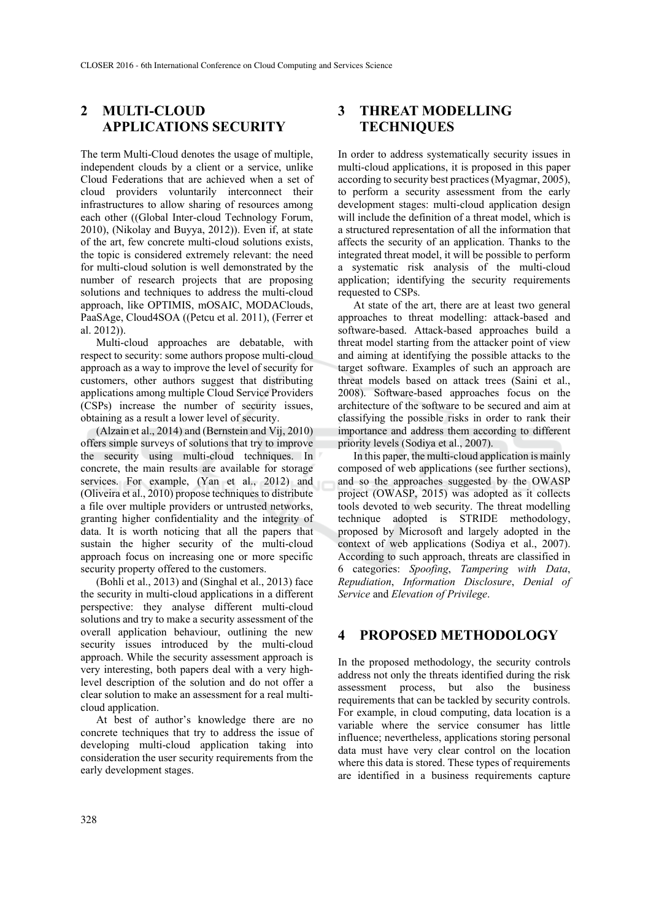# **2 MULTI-CLOUD APPLICATIONS SECURITY**

The term Multi-Cloud denotes the usage of multiple, independent clouds by a client or a service, unlike Cloud Federations that are achieved when a set of cloud providers voluntarily interconnect their infrastructures to allow sharing of resources among each other ((Global Inter-cloud Technology Forum, 2010), (Nikolay and Buyya, 2012)). Even if, at state of the art, few concrete multi-cloud solutions exists, the topic is considered extremely relevant: the need for multi-cloud solution is well demonstrated by the number of research projects that are proposing solutions and techniques to address the multi-cloud approach, like OPTIMIS, mOSAIC, MODAClouds, PaaSAge, Cloud4SOA ((Petcu et al. 2011), (Ferrer et al. 2012)).

Multi-cloud approaches are debatable, with respect to security: some authors propose multi-cloud approach as a way to improve the level of security for customers, other authors suggest that distributing applications among multiple Cloud Service Providers (CSPs) increase the number of security issues, obtaining as a result a lower level of security.

(Alzain et al., 2014) and (Bernstein and Vij, 2010) offers simple surveys of solutions that try to improve the security using multi-cloud techniques. In concrete, the main results are available for storage services. For example, (Yan et al., 2012) and (Oliveira et al., 2010) propose techniques to distribute a file over multiple providers or untrusted networks, granting higher confidentiality and the integrity of data. It is worth noticing that all the papers that sustain the higher security of the multi-cloud approach focus on increasing one or more specific security property offered to the customers.

(Bohli et al., 2013) and (Singhal et al., 2013) face the security in multi-cloud applications in a different perspective: they analyse different multi-cloud solutions and try to make a security assessment of the overall application behaviour, outlining the new security issues introduced by the multi-cloud approach. While the security assessment approach is very interesting, both papers deal with a very highlevel description of the solution and do not offer a clear solution to make an assessment for a real multicloud application.

At best of author's knowledge there are no concrete techniques that try to address the issue of developing multi-cloud application taking into consideration the user security requirements from the early development stages.

# **3 THREAT MODELLING TECHNIQUES**

In order to address systematically security issues in multi-cloud applications, it is proposed in this paper according to security best practices (Myagmar, 2005), to perform a security assessment from the early development stages: multi-cloud application design will include the definition of a threat model, which is a structured representation of all the information that affects the security of an application. Thanks to the integrated threat model, it will be possible to perform a systematic risk analysis of the multi-cloud application; identifying the security requirements requested to CSPs.

At state of the art, there are at least two general approaches to threat modelling: attack-based and software-based. Attack-based approaches build a threat model starting from the attacker point of view and aiming at identifying the possible attacks to the target software. Examples of such an approach are threat models based on attack trees (Saini et al., 2008). Software-based approaches focus on the architecture of the software to be secured and aim at classifying the possible risks in order to rank their importance and address them according to different priority levels (Sodiya et al., 2007).

In this paper, the multi-cloud application is mainly composed of web applications (see further sections), and so the approaches suggested by the OWASP project (OWASP, 2015) was adopted as it collects tools devoted to web security. The threat modelling technique adopted is STRIDE methodology, proposed by Microsoft and largely adopted in the context of web applications (Sodiya et al., 2007). According to such approach, threats are classified in 6 categories: *Spoofing*, *Tampering with Data*, *Repudiation*, *Information Disclosure*, *Denial of Service* and *Elevation of Privilege*.

### **4 PROPOSED METHODOLOGY**

In the proposed methodology, the security controls address not only the threats identified during the risk assessment process, but also the business requirements that can be tackled by security controls. For example, in cloud computing, data location is a variable where the service consumer has little influence; nevertheless, applications storing personal data must have very clear control on the location where this data is stored. These types of requirements are identified in a business requirements capture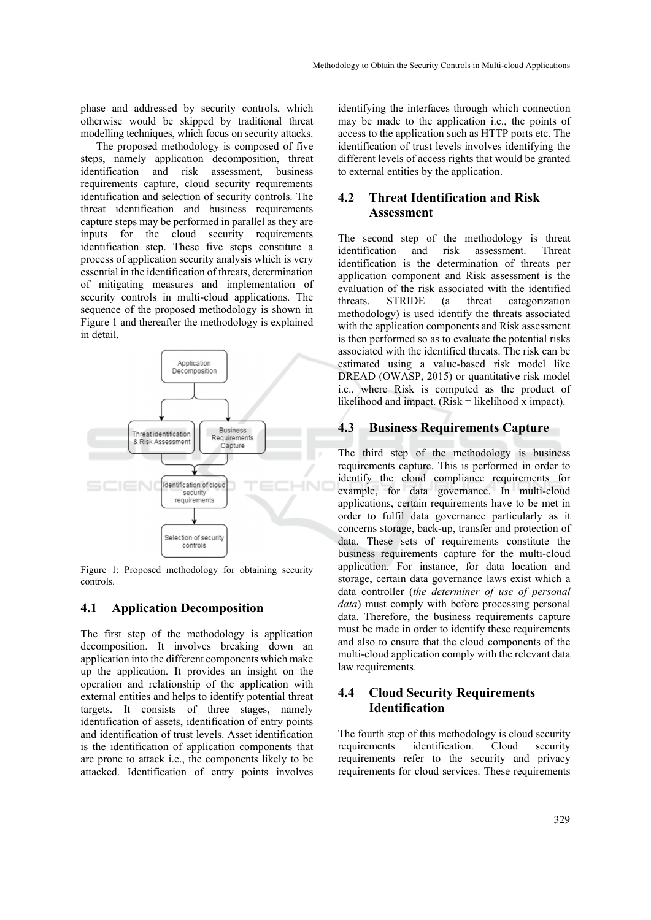phase and addressed by security controls, which otherwise would be skipped by traditional threat modelling techniques, which focus on security attacks.

The proposed methodology is composed of five steps, namely application decomposition, threat identification and risk assessment, business requirements capture, cloud security requirements identification and selection of security controls. The threat identification and business requirements capture steps may be performed in parallel as they are inputs for the cloud security requirements identification step. These five steps constitute a process of application security analysis which is very essential in the identification of threats, determination of mitigating measures and implementation of security controls in multi-cloud applications. The sequence of the proposed methodology is shown in Figure 1 and thereafter the methodology is explained in detail.



Figure 1: Proposed methodology for obtaining security controls.

### **4.1 Application Decomposition**

The first step of the methodology is application decomposition. It involves breaking down an application into the different components which make up the application. It provides an insight on the operation and relationship of the application with external entities and helps to identify potential threat targets. It consists of three stages, namely identification of assets, identification of entry points and identification of trust levels. Asset identification is the identification of application components that are prone to attack i.e., the components likely to be attacked. Identification of entry points involves

identifying the interfaces through which connection may be made to the application i.e., the points of access to the application such as HTTP ports etc. The identification of trust levels involves identifying the different levels of access rights that would be granted to external entities by the application.

### **4.2 Threat Identification and Risk Assessment**

The second step of the methodology is threat identification and risk assessment. Threat identification is the determination of threats per application component and Risk assessment is the evaluation of the risk associated with the identified threats. STRIDE (a threat categorization methodology) is used identify the threats associated with the application components and Risk assessment is then performed so as to evaluate the potential risks associated with the identified threats. The risk can be estimated using a value-based risk model like DREAD (OWASP, 2015) or quantitative risk model i.e., where Risk is computed as the product of likelihood and impact.  $(Risk = likelihood x \text{ impact})$ .

### **4.3 Business Requirements Capture**

The third step of the methodology is business requirements capture. This is performed in order to identify the cloud compliance requirements for example, for data governance. In multi-cloud applications, certain requirements have to be met in order to fulfil data governance particularly as it concerns storage, back-up, transfer and protection of data. These sets of requirements constitute the business requirements capture for the multi-cloud application. For instance, for data location and storage, certain data governance laws exist which a data controller (*the determiner of use of personal data*) must comply with before processing personal data. Therefore, the business requirements capture must be made in order to identify these requirements and also to ensure that the cloud components of the multi-cloud application comply with the relevant data law requirements.

## **4.4 Cloud Security Requirements Identification**

The fourth step of this methodology is cloud security requirements identification. Cloud security requirements refer to the security and privacy requirements for cloud services. These requirements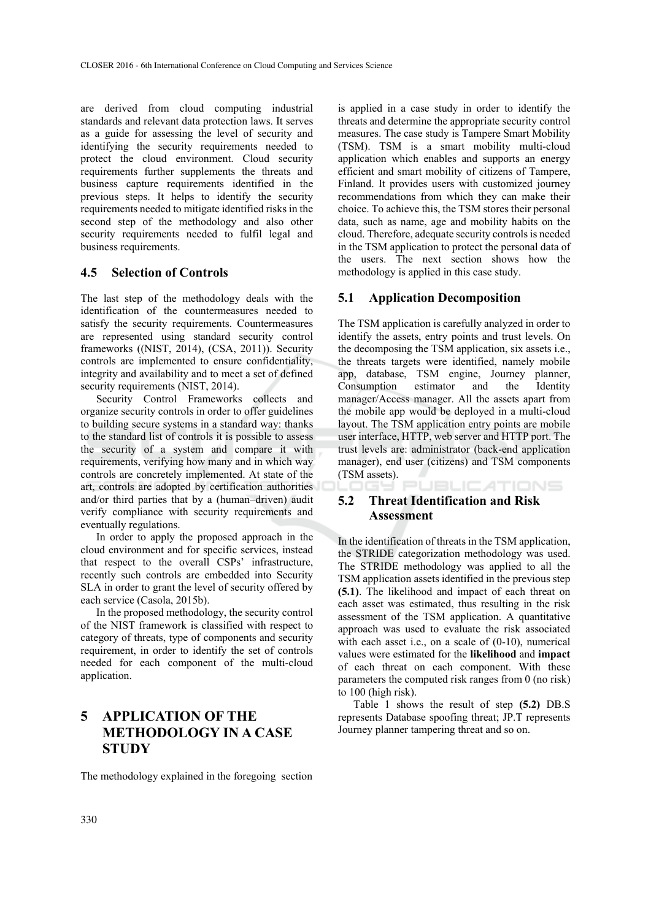are derived from cloud computing industrial standards and relevant data protection laws. It serves as a guide for assessing the level of security and identifying the security requirements needed to protect the cloud environment. Cloud security requirements further supplements the threats and business capture requirements identified in the previous steps. It helps to identify the security requirements needed to mitigate identified risks in the second step of the methodology and also other security requirements needed to fulfil legal and business requirements.

#### **4.5 Selection of Controls**

The last step of the methodology deals with the identification of the countermeasures needed to satisfy the security requirements. Countermeasures are represented using standard security control frameworks ((NIST, 2014), (CSA, 2011)). Security controls are implemented to ensure confidentiality, integrity and availability and to meet a set of defined security requirements (NIST, 2014).

Security Control Frameworks collects and organize security controls in order to offer guidelines to building secure systems in a standard way: thanks to the standard list of controls it is possible to assess the security of a system and compare it with requirements, verifying how many and in which way controls are concretely implemented. At state of the art, controls are adopted by certification authorities and/or third parties that by a (human–driven) audit verify compliance with security requirements and eventually regulations.

In order to apply the proposed approach in the cloud environment and for specific services, instead that respect to the overall CSPs' infrastructure, recently such controls are embedded into Security SLA in order to grant the level of security offered by each service (Casola, 2015b).

In the proposed methodology, the security control of the NIST framework is classified with respect to category of threats, type of components and security requirement, in order to identify the set of controls needed for each component of the multi-cloud application.

# **5 APPLICATION OF THE METHODOLOGY IN A CASE STUDY**

The methodology explained in the foregoing section

is applied in a case study in order to identify the threats and determine the appropriate security control measures. The case study is Tampere Smart Mobility (TSM). TSM is a smart mobility multi-cloud application which enables and supports an energy efficient and smart mobility of citizens of Tampere, Finland. It provides users with customized journey recommendations from which they can make their choice. To achieve this, the TSM stores their personal data, such as name, age and mobility habits on the cloud. Therefore, adequate security controls is needed in the TSM application to protect the personal data of the users. The next section shows how the methodology is applied in this case study.

### **5.1 Application Decomposition**

The TSM application is carefully analyzed in order to identify the assets, entry points and trust levels. On the decomposing the TSM application, six assets i.e., the threats targets were identified, namely mobile app, database, TSM engine, Journey planner, Consumption estimator and the Identity manager/Access manager. All the assets apart from the mobile app would be deployed in a multi-cloud layout. The TSM application entry points are mobile user interface, HTTP, web server and HTTP port. The trust levels are: administrator (back-end application manager), end user (citizens) and TSM components (TSM assets).  $\Box$ **JBLICATIONS** 

# **5.2 Threat Identification and Risk Assessment**

In the identification of threats in the TSM application, the STRIDE categorization methodology was used. The STRIDE methodology was applied to all the TSM application assets identified in the previous step **(5.1)**. The likelihood and impact of each threat on each asset was estimated, thus resulting in the risk assessment of the TSM application. A quantitative approach was used to evaluate the risk associated with each asset i.e., on a scale of (0-10), numerical values were estimated for the **likelihood** and **impact** of each threat on each component. With these parameters the computed risk ranges from 0 (no risk) to 100 (high risk).

Table 1 shows the result of step **(5.2)** DB.S represents Database spoofing threat; JP.T represents Journey planner tampering threat and so on.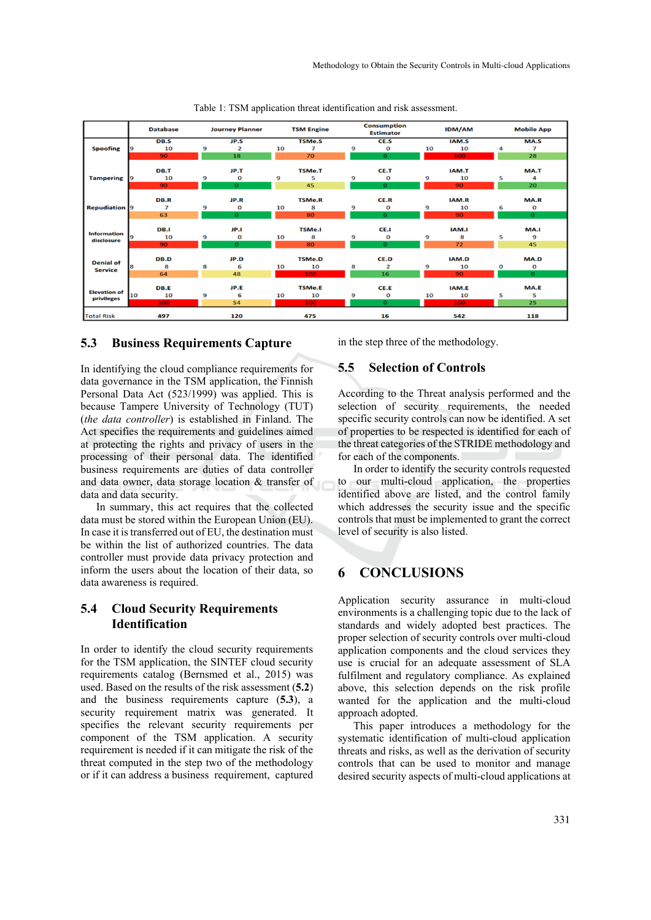|                                    |    | <b>Database</b> | <b>Journey Planner</b> |              | <b>TSM Engine</b> |                | <b>Consumption</b><br><b>Estimator</b> |              |    | <b>IDM/AM</b> |   | <b>Mobile App</b> |  |
|------------------------------------|----|-----------------|------------------------|--------------|-------------------|----------------|----------------------------------------|--------------|----|---------------|---|-------------------|--|
|                                    |    | DB.S            |                        | JP.S         |                   | <b>TSMe.S</b>  |                                        | CE.S         |    | IAM.S         |   | MA.S              |  |
| <b>Spoofing</b>                    | 9  | 10              | 9                      | 2            | 10                | $\overline{z}$ | 9                                      | $\mathbf 0$  | 10 | 10            | 4 | 7                 |  |
|                                    |    | 90              |                        | 18           |                   | 70             |                                        | $\mathbf{o}$ |    | 100           |   | 28                |  |
| <b>Tampering</b>                   |    | DB.T            |                        | JP.T         |                   | <b>TSMe.T</b>  |                                        | CE.T         |    | IAM.T         |   | MA.T              |  |
|                                    | 9  | 10              | 9                      | O            | 9                 | 5              | 9                                      | $\mathbf 0$  | 9  | 10            | 5 | 4                 |  |
|                                    |    | 90              |                        | $\mathbf{o}$ |                   | 45             |                                        | $\mathbf{o}$ |    | 90            |   | 20                |  |
|                                    |    | DB.R            |                        | JP.R         |                   | <b>TSMe.R</b>  |                                        | CE.R         |    | IAM.R         |   | MA.R              |  |
| <b>Repudiation 9</b>               |    | 7               | 9                      | O            | 10                | 8              | 9                                      | $\mathbf 0$  | 9  | 10            | 6 | O                 |  |
|                                    |    | 63              |                        | $\mathbf{o}$ |                   | 80             |                                        | $\mathbf{o}$ |    | 90            |   | $\mathbf{O}$      |  |
|                                    |    |                 |                        |              |                   |                |                                        |              |    |               |   |                   |  |
|                                    |    | DB.I            |                        | JP.I         |                   | <b>TSMe.I</b>  |                                        | CE.I         |    | IAM.I         |   | MA.I              |  |
| <b>Information</b><br>disclosure   | 9  | 10              | 9                      | 0            | 10                | 8              | 9                                      | $\mathbf 0$  | 9  | 8             | 5 | 9                 |  |
|                                    |    | 90              |                        | $\mathbf{o}$ |                   | 80             |                                        | $\mathbf{o}$ |    | 72            |   | 45                |  |
|                                    |    | DB.D            |                        | JP.D         |                   | <b>TSMe.D</b>  |                                        | CE.D         |    | IAM.D         |   | MA.D              |  |
| <b>Denial of</b><br><b>Service</b> | 8  | 8               | 8                      |              | 10                | 10             |                                        |              | 9  |               | O |                   |  |
|                                    |    | 64              |                        | 6<br>48      |                   |                | 8                                      | 2<br>16      |    | 10<br>90      |   | O<br>$\mathbf{O}$ |  |
|                                    |    |                 |                        |              |                   | 100            |                                        |              |    |               |   |                   |  |
|                                    |    | DB.E            |                        | JP.E         |                   | <b>TSMe.E</b>  |                                        | CE.E         |    | IAM.E         |   | MA.E              |  |
| <b>Elevation of</b><br>privileges  | 10 | 10              | 9                      | 6            | 10                | 10             | 9                                      | O            | 10 | 10            | 5 | 5                 |  |
|                                    |    | 100             |                        | 54           |                   | 100            |                                        | $\mathbf{o}$ |    | 100           |   | 25                |  |
| <b>Total Risk</b>                  |    | 497             |                        | 120          |                   | 475            |                                        | 16           |    | 542           |   | 118               |  |

Table 1: TSM application threat identification and risk assessment.

#### **5.3 Business Requirements Capture**

In identifying the cloud compliance requirements for data governance in the TSM application, the Finnish Personal Data Act (523/1999) was applied. This is because Tampere University of Technology (TUT) (*the data controller*) is established in Finland. The Act specifies the requirements and guidelines aimed at protecting the rights and privacy of users in the processing of their personal data. The identified business requirements are duties of data controller and data owner, data storage location & transfer of data and data security.

In summary, this act requires that the collected data must be stored within the European Union (EU). In case it is transferred out of EU, the destination must be within the list of authorized countries. The data controller must provide data privacy protection and inform the users about the location of their data, so data awareness is required.

## **5.4 Cloud Security Requirements Identification**

In order to identify the cloud security requirements for the TSM application, the SINTEF cloud security requirements catalog (Bernsmed et al., 2015) was used. Based on the results of the risk assessment (**5.2**) and the business requirements capture (**5.3**), a security requirement matrix was generated. It specifies the relevant security requirements per component of the TSM application. A security requirement is needed if it can mitigate the risk of the threat computed in the step two of the methodology or if it can address a business requirement, captured

in the step three of the methodology.

#### **5.5 Selection of Controls**

According to the Threat analysis performed and the selection of security requirements, the needed specific security controls can now be identified. A set of properties to be respected is identified for each of the threat categories of the STRIDE methodology and for each of the components.

In order to identify the security controls requested to our multi-cloud application, the properties identified above are listed, and the control family which addresses the security issue and the specific controls that must be implemented to grant the correct level of security is also listed.

### **6 CONCLUSIONS**

Application security assurance in multi-cloud environments is a challenging topic due to the lack of standards and widely adopted best practices. The proper selection of security controls over multi-cloud application components and the cloud services they use is crucial for an adequate assessment of SLA fulfilment and regulatory compliance. As explained above, this selection depends on the risk profile wanted for the application and the multi-cloud approach adopted.

This paper introduces a methodology for the systematic identification of multi-cloud application threats and risks, as well as the derivation of security controls that can be used to monitor and manage desired security aspects of multi-cloud applications at